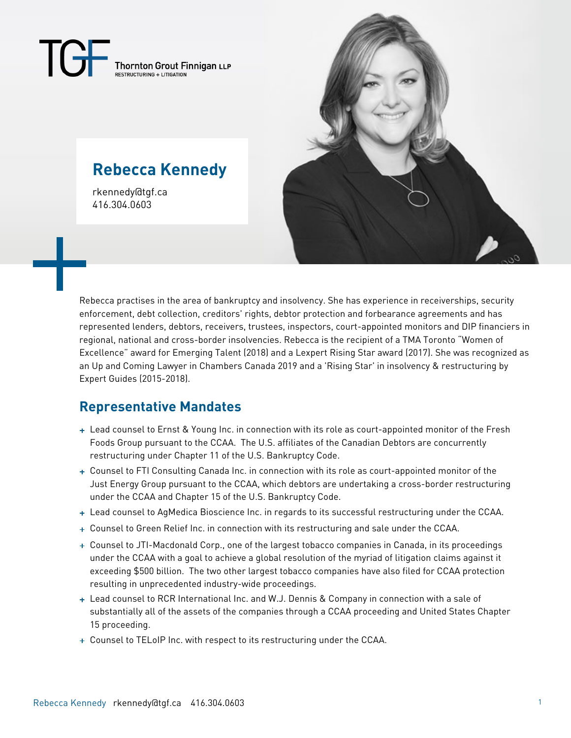$\mathbf{I}(\vec{\pi})$  $\begin{array}{c} \textbf{Thormton } \textbf{Grout } \textbf{Finnigan }\textbf{LLP} \\ \textbf{RESTRUCTURING} + \textbf{LTIGATION} \end{array}$ 

# **Rebecca Kennedy**

rkennedy@tgf.ca 416.304.0603



Rebecca practises in the area of bankruptcy and insolvency. She has experience in receiverships, security enforcement, debt collection, creditors' rights, debtor protection and forbearance agreements and has represented lenders, debtors, receivers, trustees, inspectors, court-appointed monitors and DIP financiers in regional, national and cross-border insolvencies. Rebecca is the recipient of a TMA Toronto "Women of Excellence" award for Emerging Talent (2018) and a Lexpert Rising Star award (2017). She was recognized as an Up and Coming Lawyer in Chambers Canada 2019 and a 'Rising Star' in insolvency & restructuring by Expert Guides (2015-2018).

# **Representative Mandates**

- Lead counsel to Ernst & Young Inc. in connection with its role as court-appointed monitor of the Fresh Foods Group pursuant to the CCAA. The U.S. affiliates of the Canadian Debtors are concurrently restructuring under Chapter 11 of the U.S. Bankruptcy Code.
- Counsel to FTI Consulting Canada Inc. in connection with its role as court-appointed monitor of the Just Energy Group pursuant to the CCAA, which debtors are undertaking a cross-border restructuring under the CCAA and Chapter 15 of the U.S. Bankruptcy Code.
- + Lead counsel to AgMedica Bioscience Inc. in regards to its successful restructuring under the CCAA.
- Counsel to Green Relief Inc. in connection with its restructuring and sale under the CCAA.
- Counsel to JTI-Macdonald Corp., one of the largest tobacco companies in Canada, in its proceedings under the CCAA with a goal to achieve a global resolution of the myriad of litigation claims against it exceeding \$500 billion. The two other largest tobacco companies have also filed for CCAA protection resulting in unprecedented industry-wide proceedings.
- + Lead counsel to RCR International Inc. and W.J. Dennis & Company in connection with a sale of substantially all of the assets of the companies through a CCAA proceeding and United States Chapter 15 proceeding.
- $\overline{+}$  Counsel to TELoIP Inc. with respect to its restructuring under the CCAA.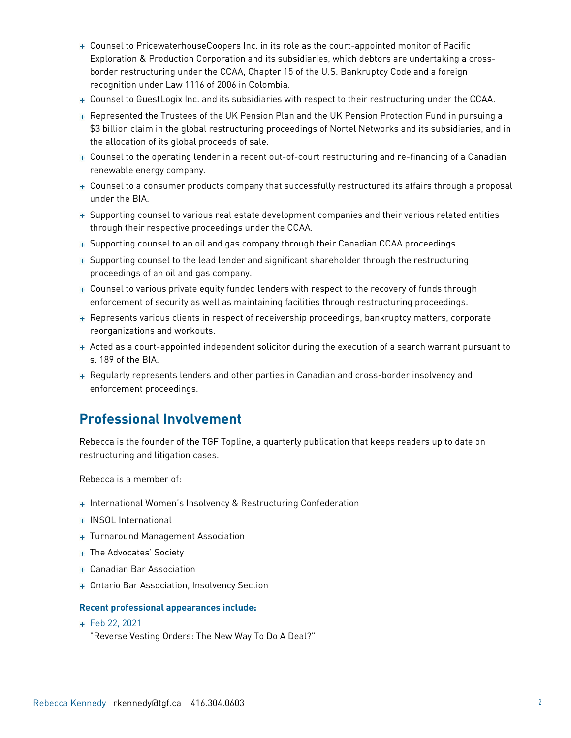- Counsel to PricewaterhouseCoopers Inc. in its role as the court-appointed monitor of Pacific Exploration & Production Corporation and its subsidiaries, which debtors are undertaking a crossborder restructuring under the CCAA, Chapter 15 of the U.S. Bankruptcy Code and a foreign recognition under Law 1116 of 2006 in Colombia.
- Counsel to GuestLogix Inc. and its subsidiaries with respect to their restructuring under the CCAA.
- Represented the Trustees of the UK Pension Plan and the UK Pension Protection Fund in pursuing a \$3 billion claim in the global restructuring proceedings of Nortel Networks and its subsidiaries, and in the allocation of its global proceeds of sale.
- Counsel to the operating lender in a recent out-of-court restructuring and re-financing of a Canadian renewable energy company.
- + Counsel to a consumer products company that successfully restructured its affairs through a proposal under the BIA.
- + Supporting counsel to various real estate development companies and their various related entities through their respective proceedings under the CCAA.
- + Supporting counsel to an oil and gas company through their Canadian CCAA proceedings.
- + Supporting counsel to the lead lender and significant shareholder through the restructuring proceedings of an oil and gas company.
- + Counsel to various private equity funded lenders with respect to the recovery of funds through enforcement of security as well as maintaining facilities through restructuring proceedings.
- + Represents various clients in respect of receivership proceedings, bankruptcy matters, corporate reorganizations and workouts.
- Acted as a court-appointed independent solicitor during the execution of a search warrant pursuant to s. 189 of the BIA.
- Regularly represents lenders and other parties in Canadian and cross-border insolvency and enforcement proceedings.

### **Professional Involvement**

Rebecca is the founder of the TGF Topline, a quarterly publication that keeps readers up to date on restructuring and litigation cases.

Rebecca is a member of:

- + International Women's Insolvency & Restructuring Confederation
- + INSOL International
- + Turnaround Management Association
- + The Advocates' Society
- Canadian Bar Association
- + Ontario Bar Association, Insolvency Section

#### **Recent professional appearances include:**

Feb 22, 2021

"Reverse Vesting Orders: The New Way To Do A Deal?"